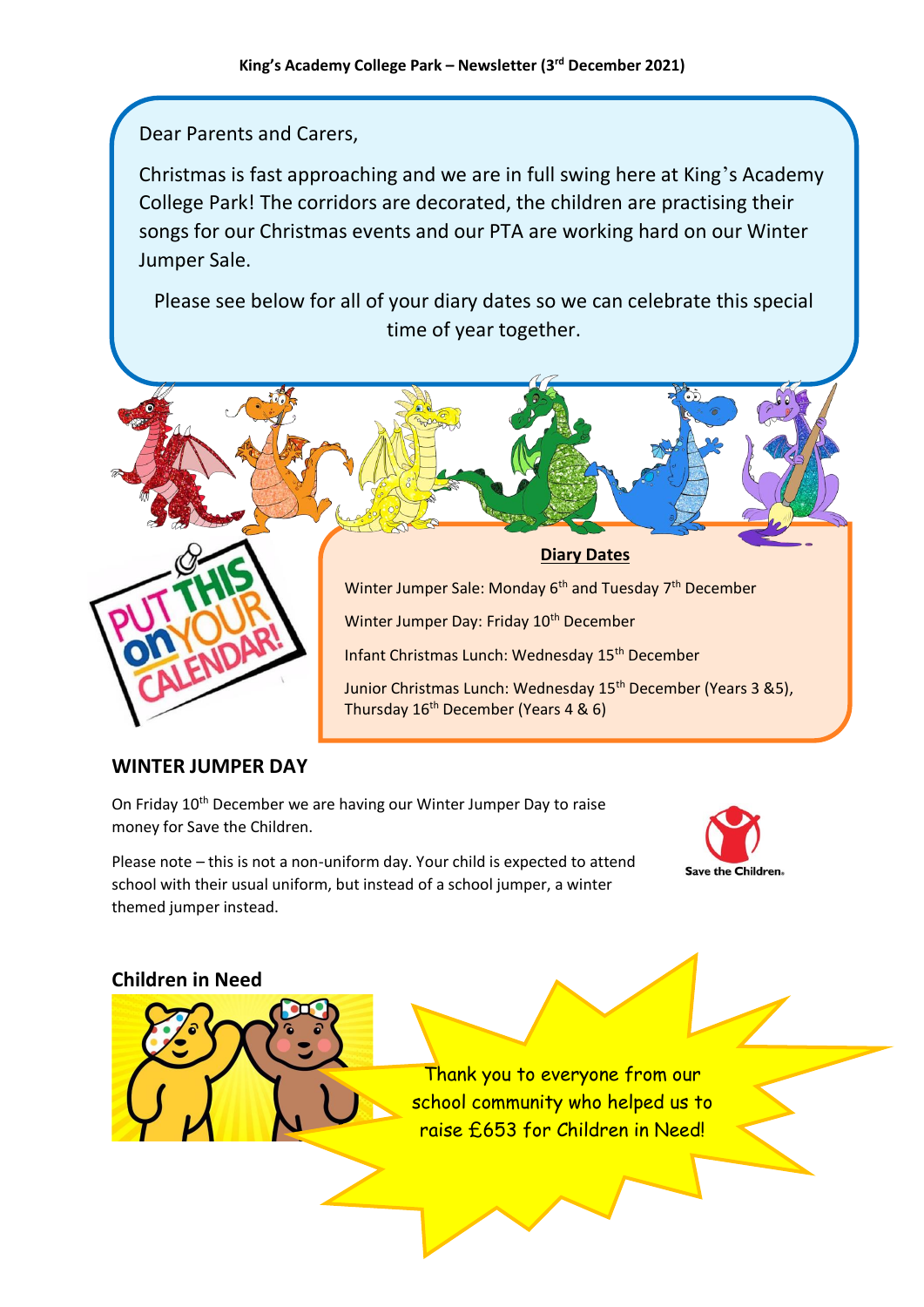## Dear Parents and Carers,

Christmas is fast approaching and we are in full swing here at King's Academy College Park! The corridors are decorated, the children are practising their songs for our Christmas events and our PTA are working hard on our Winter Jumper Sale.

Please see below for all of your diary dates so we can celebrate this special time of year together.



## **WINTER JUMPER DAY**

On Friday 10<sup>th</sup> December we are having our Winter Jumper Day to raise money for Save the Children.

Please note – this is not a non-uniform day. Your child is expected to attend school with their usual uniform, but instead of a school jumper, a winter themed jumper instead.



### **Children in Need**

Thank you to everyone from our school community who helped us to raise £653 for Children in Need!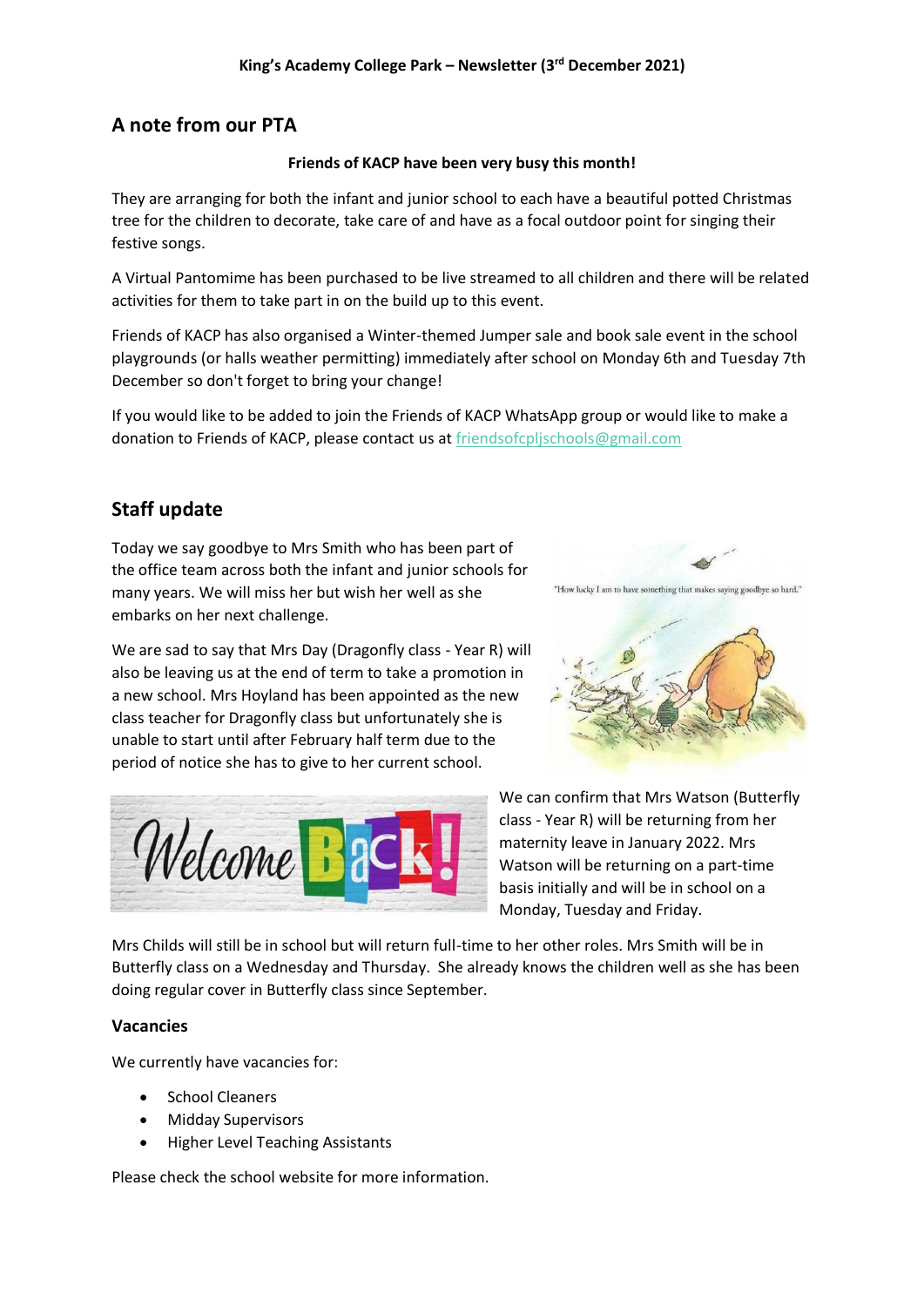## **A note from our PTA**

#### **Friends of KACP have been very busy this month!**

They are arranging for both the infant and junior school to each have a beautiful potted Christmas tree for the children to decorate, take care of and have as a focal outdoor point for singing their festive songs.

A Virtual Pantomime has been purchased to be live streamed to all children and there will be related activities for them to take part in on the build up to this event.

Friends of KACP has also organised a Winter-themed Jumper sale and book sale event in the school playgrounds (or halls weather permitting) immediately after school on Monday 6th and Tuesday 7th December so don't forget to bring your change!

If you would like to be added to join the Friends of KACP WhatsApp group or would like to make a donation to Friends of KACP, please contact us at [friendsofcpljschools@gmail.com](mailto:friendsofcpljschools@gmail.com)

## **Staff update**

Today we say goodbye to Mrs Smith who has been part of the office team across both the infant and junior schools for many years. We will miss her but wish her well as she embarks on her next challenge.

We are sad to say that Mrs Day (Dragonfly class - Year R) will also be leaving us at the end of term to take a promotion in a new school. Mrs Hoyland has been appointed as the new class teacher for Dragonfly class but unfortunately she is unable to start until after February half term due to the period of notice she has to give to her current school.



"How lucky I am to have something that makes saying goodbye so hard."



We can confirm that Mrs Watson (Butterfly class - Year R) will be returning from her maternity leave in January 2022. Mrs Watson will be returning on a part-time basis initially and will be in school on a Monday, Tuesday and Friday.

Mrs Childs will still be in school but will return full-time to her other roles. Mrs Smith will be in Butterfly class on a Wednesday and Thursday. She already knows the children well as she has been doing regular cover in Butterfly class since September.

### **Vacancies**

We currently have vacancies for:

- School Cleaners
- Midday Supervisors
- Higher Level Teaching Assistants

Please check the school website for more information.